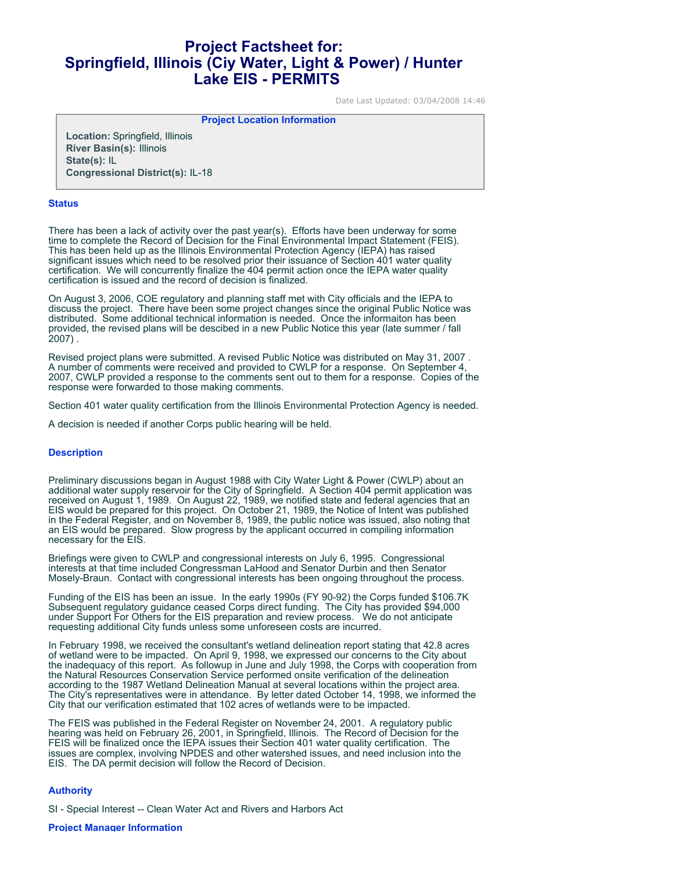## **Project Factsheet for: Springfield, Illinois (Ciy Water, Light & Power) / Hunter Lake EIS - PERMITS**

Date Last Updated: 03/04/2008 14:46

**Project Location Information** 

**Location:** Springfield, Illinois **River Basin(s):** Illinois **State(s):** IL **Congressional District(s):** IL-18

## **Status**

There has been a lack of activity over the past year(s). Efforts have been underway for some time to complete the Record of Decision for the Final Environmental Impact Statement (FEIS). This has been held up as the Illinois Environmental Protection Agency (IEPA) has raised significant issues which need to be resolved prior their issuance of Section 401 water quality certification. We will concurrently finalize the 404 permit action once the IEPA water quality certification is issued and the record of decision is finalized.

On August 3, 2006, COE regulatory and planning staff met with City officials and the IEPA to discuss the project. There have been some project changes since the original Public Notice was distributed. Some additional technical information is needed. Once the informaiton has been provided, the revised plans will be descibed in a new Public Notice this year (late summer / fall 2007) .

Revised project plans were submitted. A revised Public Notice was distributed on May 31, 2007 . A number of comments were received and provided to CWLP for a response. On September 4, 2007, CWLP provided a response to the comments sent out to them for a response. Copies of the response were forwarded to those making comments.

Section 401 water quality certification from the Illinois Environmental Protection Agency is needed.

A decision is needed if another Corps public hearing will be held.

## **Description**

Preliminary discussions began in August 1988 with City Water Light & Power (CWLP) about an additional water supply reservoir for the City of Springfield. A Section 404 permit application was received on August 1, 1989. On August 22, 1989, we notified state and federal agencies that an EIS would be prepared for this project. On October 21, 1989, the Notice of Intent was published in the Federal Register, and on November 8, 1989, the public notice was issued, also noting that an EIS would be prepared. Slow progress by the applicant occurred in compiling information necessary for the EIS.

Briefings were given to CWLP and congressional interests on July 6, 1995. Congressional interests at that time included Congressman LaHood and Senator Durbin and then Senator Mosely-Braun. Contact with congressional interests has been ongoing throughout the process.

Funding of the EIS has been an issue. In the early 1990s (FY 90-92) the Corps funded \$106.7K Subsequent regulatory guidance ceased Corps direct funding. The City has provided \$94,000 under Support For Others for the EIS preparation and review process. We do not anticipate requesting additional City funds unless some unforeseen costs are incurred.

In February 1998, we received the consultant's wetland delineation report stating that 42.8 acres of wetland were to be impacted. On April 9, 1998, we expressed our concerns to the City about the inadequacy of this report. As followup in June and July 1998, the Corps with cooperation from the Natural Resources Conservation Service performed onsite verification of the delineation according to the 1987 Wetland Delineation Manual at several locations within the project area. The City's representatives were in attendance. By letter dated October 14, 1998, we informed the City that our verification estimated that 102 acres of wetlands were to be impacted.

The FEIS was published in the Federal Register on November 24, 2001. A regulatory public hearing was held on February 26, 2001, in Springfield, Illinois. The Record of Decision for the FEIS will be finalized once the IEPA issues their Section 401 water quality certification. The issues are complex, involving NPDES and other watershed issues, and need inclusion into the EIS. The DA permit decision will follow the Record of Decision.

## **Authority**

SI - Special Interest -- Clean Water Act and Rivers and Harbors Act

**Project Manager Information**